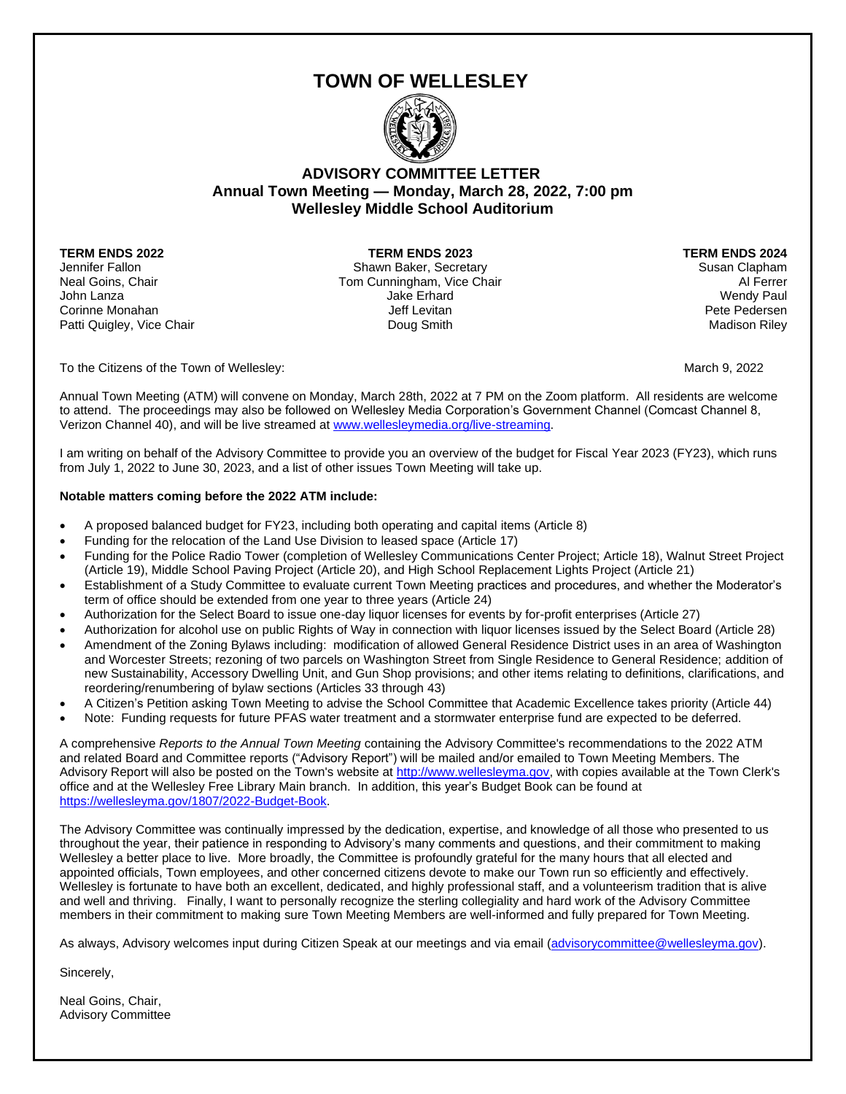# **TOWN OF WELLESLEY**



### **ADVISORY COMMITTEE LETTER Annual Town Meeting — Monday, March 28, 2022, 7:00 pm Wellesley Middle School Auditorium**

**TERM ENDS 2022 TERM ENDS 2023 TERM ENDS 2024**

Jennifer Fallon **Shawn Baker, Secretary Susan Clapham** Susan Clapham Neal Goins, Chair Tom Cunningham, Vice Chair Al Ferrer John Lanza Jake Erhard Wendy Paul Corinne Monahan Monahan Jeff Levitan Jeff Levitan Pete Pedersen Pete Pedersen Patti Quigley, Vice Chair **National Community Community** Doug Smith National Act of the Madison Riley

To the Citizens of the Town of Wellesley:  $\blacksquare$  March 9, 2022

Annual Town Meeting (ATM) will convene on Monday, March 28th, 2022 at 7 PM on the Zoom platform. All residents are welcome to attend. The proceedings may also be followed on Wellesley Media Corporation's Government Channel (Comcast Channel 8, Verizon Channel 40), and will be live streamed at [www.wellesleymedia.org/live-streaming.](http://www.wellesleymedia.org/live-streaming) 

I am writing on behalf of the Advisory Committee to provide you an overview of the budget for Fiscal Year 2023 (FY23), which runs from July 1, 2022 to June 30, 2023, and a list of other issues Town Meeting will take up.

### **Notable matters coming before the 2022 ATM include:**

- A proposed balanced budget for FY23, including both operating and capital items (Article 8)
- Funding for the relocation of the Land Use Division to leased space (Article 17)
- Funding for the Police Radio Tower (completion of Wellesley Communications Center Project; Article 18), Walnut Street Project (Article 19), Middle School Paving Project (Article 20), and High School Replacement Lights Project (Article 21)
- Establishment of a Study Committee to evaluate current Town Meeting practices and procedures, and whether the Moderator's term of office should be extended from one year to three years (Article 24)
- Authorization for the Select Board to issue one-day liquor licenses for events by for-profit enterprises (Article 27)
- Authorization for alcohol use on public Rights of Way in connection with liquor licenses issued by the Select Board (Article 28)
- Amendment of the Zoning Bylaws including: modification of allowed General Residence District uses in an area of Washington and Worcester Streets; rezoning of two parcels on Washington Street from Single Residence to General Residence; addition of new Sustainability, Accessory Dwelling Unit, and Gun Shop provisions; and other items relating to definitions, clarifications, and reordering/renumbering of bylaw sections (Articles 33 through 43)
- A Citizen's Petition asking Town Meeting to advise the School Committee that Academic Excellence takes priority (Article 44)
- Note: Funding requests for future PFAS water treatment and a stormwater enterprise fund are expected to be deferred.

A comprehensive *Reports to the Annual Town Meeting* containing the Advisory Committee's recommendations to the 2022 ATM and related Board and Committee reports ("Advisory Report") will be mailed and/or emailed to Town Meeting Members. The Advisory Report will also be posted on the Town's website at [http://www.wellesleyma.gov,](http://www.wellesleyma.gov/) with copies available at the Town Clerk's office and at the Wellesley Free Library Main branch. In addition, this year's Budget Book can be found at [https://wellesleyma.gov/1807/2022-Budget-Book.](https://wellesleyma.gov/1807/2022-Budget-Book)

The Advisory Committee was continually impressed by the dedication, expertise, and knowledge of all those who presented to us throughout the year, their patience in responding to Advisory's many comments and questions, and their commitment to making Wellesley a better place to live. More broadly, the Committee is profoundly grateful for the many hours that all elected and appointed officials, Town employees, and other concerned citizens devote to make our Town run so efficiently and effectively. Wellesley is fortunate to have both an excellent, dedicated, and highly professional staff, and a volunteerism tradition that is alive and well and thriving. Finally, I want to personally recognize the sterling collegiality and hard work of the Advisory Committee members in their commitment to making sure Town Meeting Members are well-informed and fully prepared for Town Meeting.

As always, Advisory welcomes input during Citizen Speak at our meetings and via email [\(advisorycommittee@wellesleyma.gov\)](mailto:advisorycommittee@wellesleyma.gov).

Sincerely,

Neal Goins, Chair, Advisory Committee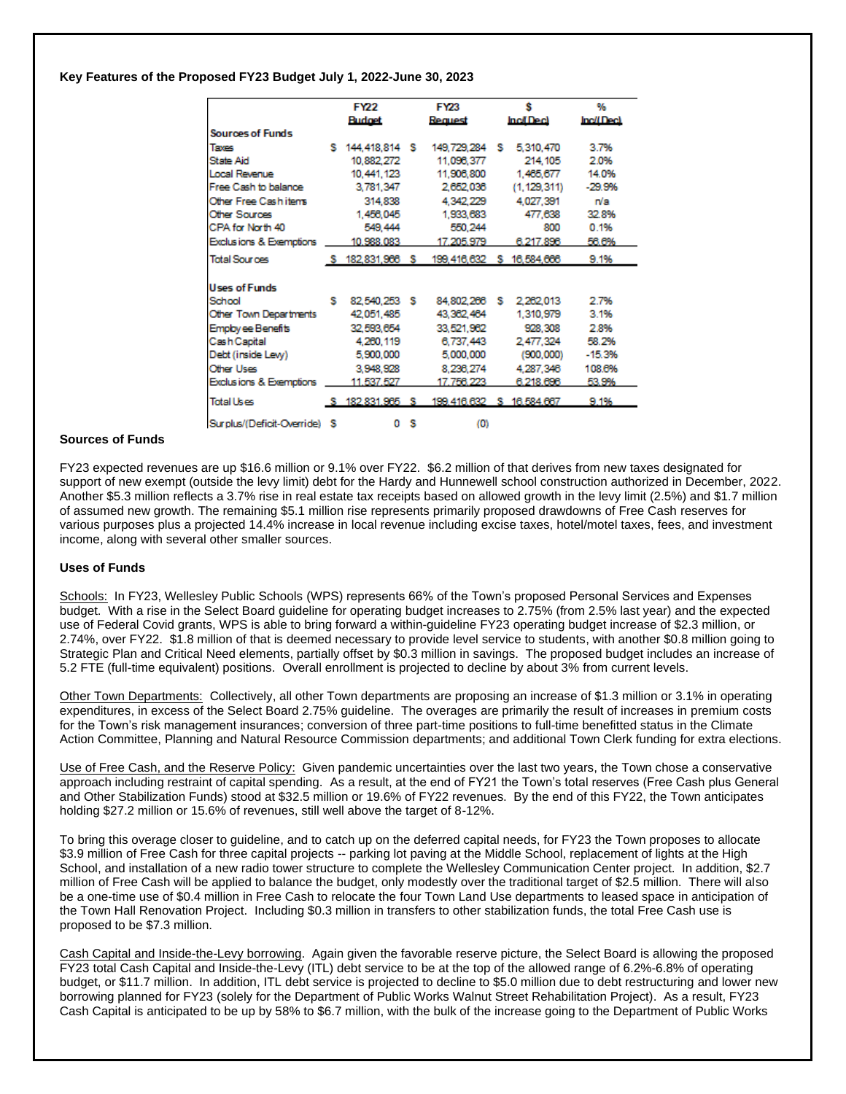#### **Key Features of the Proposed FY23 Budget July 1, 2022-June 30, 2023**

|                              |   | <b>FY22</b>      |     | <b>FY23</b>                              |   | s                | ۰.        |
|------------------------------|---|------------------|-----|------------------------------------------|---|------------------|-----------|
|                              |   | <b>Budget</b>    |     | Request                                  |   | <b>Incl Deck</b> | Inc/(Dec) |
| <b>Sources of Funds</b>      |   |                  |     |                                          |   |                  |           |
| Taxes                        |   | S 144,418,814 S  |     | 149,729,284 S                            |   | 5,310,470        | 3.7%      |
| State Aid                    |   | 10,882,272       |     | 11,096,377                               |   | 214, 105         | 2.0%      |
| Local Revenue                |   | 10,441,123       |     | 11,906,800                               |   | 1,465,677        | 14.0%     |
| Free Cash to balance         |   | 3,781,347        |     | 2,652,036                                |   | (1, 129, 311)    | $-29.9%$  |
| Other Free Cashitens         |   | 314,838          |     | 4.342.229                                |   | 4.027.391        | n/a       |
| <b>Other Sources</b>         |   | 1,456,045        |     | 1,933,683                                |   | 477.638          | 32.8%     |
| CPA for North 40             |   | 549, 444         |     | 550,244                                  |   | 800              | 0.1%      |
| Exclusions & Exemptions      |   | 10.988.083       |     | 17.205.979                               |   | 6.217.893        | 56.6%     |
| <b>Total Sources</b>         |   | \$182,831,966 \$ |     | 199,416,632 \$ 16,584,666                |   |                  | 9.1%      |
|                              |   |                  |     |                                          |   |                  |           |
| <b>Uses of Funds</b>         |   |                  |     |                                          |   |                  |           |
| School                       | s | 82,540,253 \$    |     | 84,802,266                               | s | 2,262,013        | 2.7%      |
| Other Town Departments       |   | 42,051,485       |     | 43,362,464                               |   | 1,310,979        | 3.1%      |
| Employ ee Benefits           |   | 32.593.654       |     | 33,521,962                               |   | 928.308          | 2.8%      |
| Cash Capital                 |   | 4,260,119        |     | 6,737,443                                |   | 2.477.324        | 58.2%     |
| Debt (inside Levy)           |   | 5,900,000        |     | 5,000,000                                |   | (900,000)        | $-15.3%$  |
| <b>Other Uses</b>            |   | 3.948.928        |     | 8.236.274                                |   | 4,287,346        | 108.6%    |
| Exclusions & Exemptions      |   | 11.537.527       |     | 17.756.223                               |   | 6.218.693        | 53.9%     |
| <b>Total Uses</b>            |   |                  |     | S 182.831.985 S 199.416.632 S 16.584.667 |   |                  | 9.1%      |
| Surplus/(Deficit-Override) S |   |                  | o s | (0)                                      |   |                  |           |

#### **Sources of Funds**

FY23 expected revenues are up \$16.6 million or 9.1% over FY22. \$6.2 million of that derives from new taxes designated for support of new exempt (outside the levy limit) debt for the Hardy and Hunnewell school construction authorized in December, 2022. Another \$5.3 million reflects a 3.7% rise in real estate tax receipts based on allowed growth in the levy limit (2.5%) and \$1.7 million of assumed new growth. The remaining \$5.1 million rise represents primarily proposed drawdowns of Free Cash reserves for various purposes plus a projected 14.4% increase in local revenue including excise taxes, hotel/motel taxes, fees, and investment income, along with several other smaller sources.

#### **Uses of Funds**

Schools: In FY23, Wellesley Public Schools (WPS) represents 66% of the Town's proposed Personal Services and Expenses budget. With a rise in the Select Board guideline for operating budget increases to 2.75% (from 2.5% last year) and the expected use of Federal Covid grants, WPS is able to bring forward a within-guideline FY23 operating budget increase of \$2.3 million, or 2.74%, over FY22. \$1.8 million of that is deemed necessary to provide level service to students, with another \$0.8 million going to Strategic Plan and Critical Need elements, partially offset by \$0.3 million in savings. The proposed budget includes an increase of 5.2 FTE (full-time equivalent) positions. Overall enrollment is projected to decline by about 3% from current levels.

Other Town Departments: Collectively, all other Town departments are proposing an increase of \$1.3 million or 3.1% in operating expenditures, in excess of the Select Board 2.75% guideline. The overages are primarily the result of increases in premium costs for the Town's risk management insurances; conversion of three part-time positions to full-time benefitted status in the Climate Action Committee, Planning and Natural Resource Commission departments; and additional Town Clerk funding for extra elections.

Use of Free Cash, and the Reserve Policy: Given pandemic uncertainties over the last two years, the Town chose a conservative approach including restraint of capital spending. As a result, at the end of FY21 the Town's total reserves (Free Cash plus General and Other Stabilization Funds) stood at \$32.5 million or 19.6% of FY22 revenues. By the end of this FY22, the Town anticipates holding \$27.2 million or 15.6% of revenues, still well above the target of 8-12%.

To bring this overage closer to guideline, and to catch up on the deferred capital needs, for FY23 the Town proposes to allocate \$3.9 million of Free Cash for three capital projects -- parking lot paving at the Middle School, replacement of lights at the High School, and installation of a new radio tower structure to complete the Wellesley Communication Center project. In addition, \$2.7 million of Free Cash will be applied to balance the budget, only modestly over the traditional target of \$2.5 million. There will also be a one-time use of \$0.4 million in Free Cash to relocate the four Town Land Use departments to leased space in anticipation of the Town Hall Renovation Project. Including \$0.3 million in transfers to other stabilization funds, the total Free Cash use is proposed to be \$7.3 million.

Cash Capital and Inside-the-Levy borrowing. Again given the favorable reserve picture, the Select Board is allowing the proposed FY23 total Cash Capital and Inside-the-Levy (ITL) debt service to be at the top of the allowed range of 6.2%-6.8% of operating budget, or \$11.7 million. In addition, ITL debt service is projected to decline to \$5.0 million due to debt restructuring and lower new borrowing planned for FY23 (solely for the Department of Public Works Walnut Street Rehabilitation Project). As a result, FY23 Cash Capital is anticipated to be up by 58% to \$6.7 million, with the bulk of the increase going to the Department of Public Works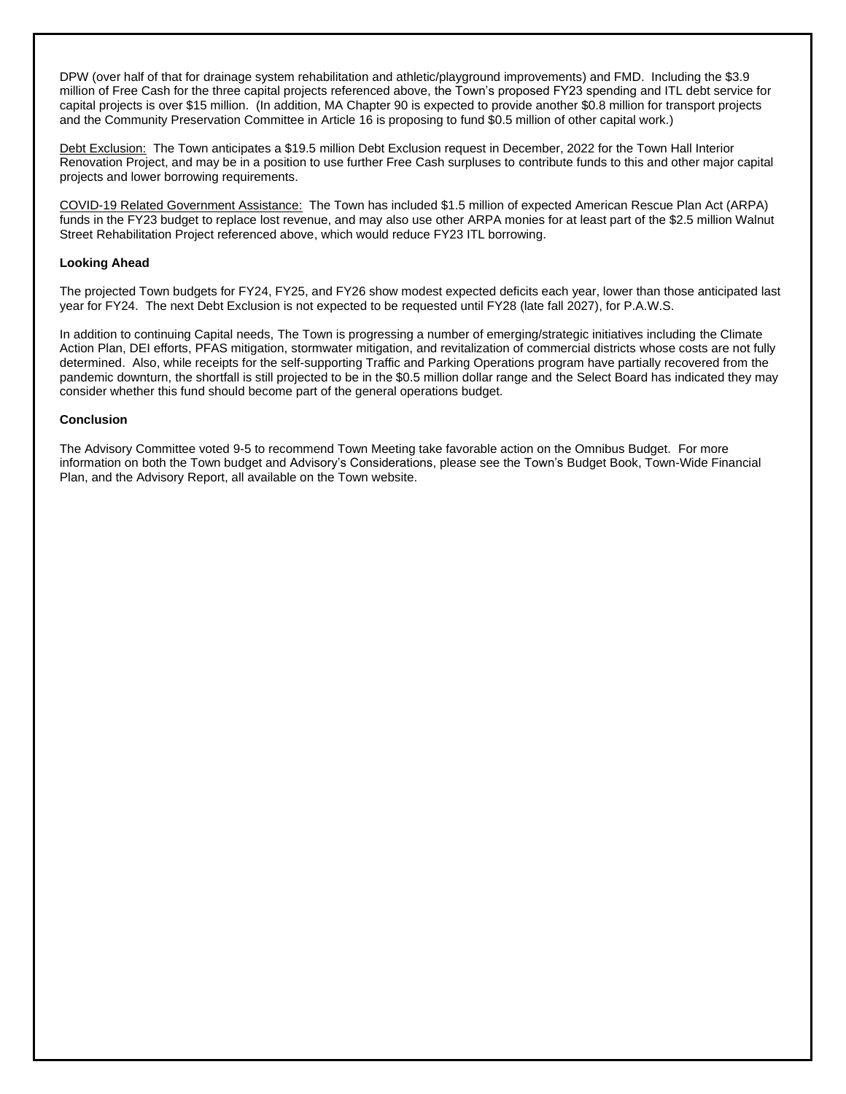DPW (over half of that for drainage system rehabilitation and athletic/playground improvements) and FMD. Including the \$3.9 million of Free Cash for the three capital projects referenced above, the Town's proposed FY23 spending and ITL debt service for capital projects is over \$15 million. (In addition, MA Chapter 90 is expected to provide another \$0.8 million for transport projects and the Community Preservation Committee in Article 16 is proposing to fund \$0.5 million of other capital work.)

Debt Exclusion: The Town anticipates a \$19.5 million Debt Exclusion request in December, 2022 for the Town Hall Interior Renovation Project, and may be in a position to use further Free Cash surpluses to contribute funds to this and other major capital projects and lower borrowing requirements.

COVID-19 Related Government Assistance: The Town has included \$1.5 million of expected American Rescue Plan Act (ARPA) funds in the FY23 budget to replace lost revenue, and may also use other ARPA monies for at least part of the \$2.5 million Walnut Street Rehabilitation Project referenced above, which would reduce FY23 ITL borrowing.

#### **Looking Ahead**

The projected Town budgets for FY24, FY25, and FY26 show modest expected deficits each year, lower than those anticipated last year for FY24. The next Debt Exclusion is not expected to be requested until FY28 (late fall 2027), for P.A.W.S.

In addition to continuing Capital needs, The Town is progressing a number of emerging/strategic initiatives including the Climate Action Plan, DEI efforts, PFAS mitigation, stormwater mitigation, and revitalization of commercial districts whose costs are not fully determined. Also, while receipts for the self-supporting Traffic and Parking Operations program have partially recovered from the pandemic downturn, the shortfall is still projected to be in the \$0.5 million dollar range and the Select Board has indicated they may consider whether this fund should become part of the general operations budget.

#### **Conclusion**

The Advisory Committee voted 9-5 to recommend Town Meeting take favorable action on the Omnibus Budget. For more information on both the Town budget and Advisory's Considerations, please see the Town's Budget Book, Town-Wide Financial Plan, and the Advisory Report, all available on the Town website.